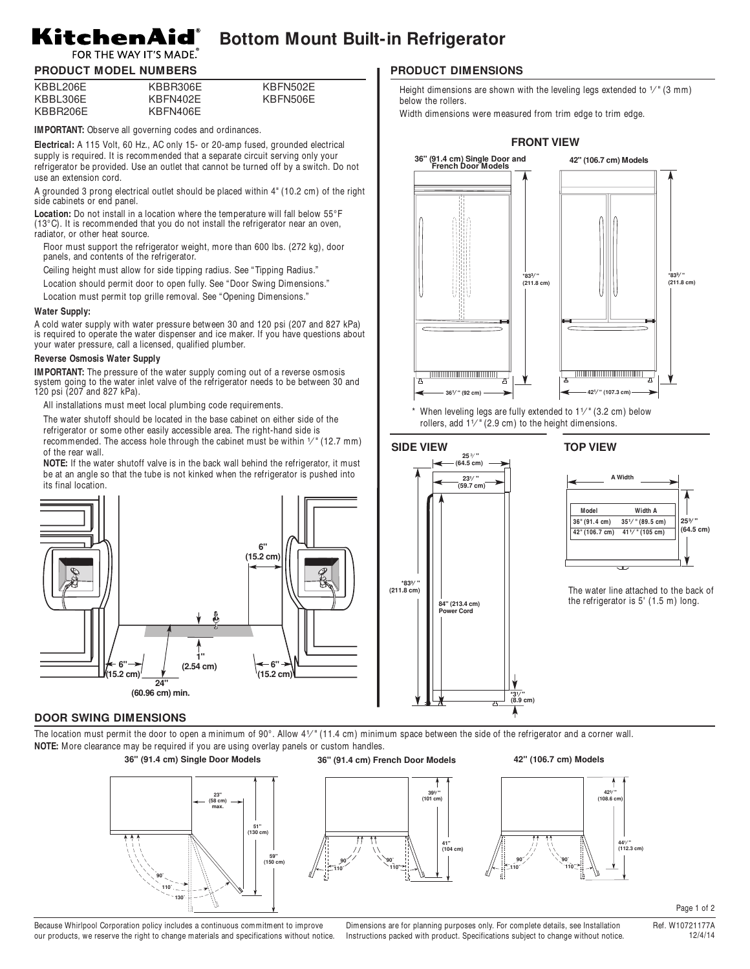### KitchenAid® **Bottom Mount Built-in Refrigerator**

# FOR THE WAY IT'S MADE. **PRODUCT MODEL NUMBERS**

| KBBL206E | KBBR306E | KBFN502E |
|----------|----------|----------|
| KBBL306E | KBFN402E | KBFN506E |
| KBBR206E | KBFN406E |          |

**IMPORTANT:** Observe all governing codes and ordinances.

**Electrical:** A 115 Volt, 60 Hz., AC only 15- or 20-amp fused, grounded electrical supply is required. It is recommended that a separate circuit serving only your refrigerator be provided. Use an outlet that cannot be turned off by a switch. Do not use an extension cord.

A grounded 3 prong electrical outlet should be placed within 4" (10.2 cm) of the right side cabinets or end panel.

**Location:** Do not install in a location where the temperature will fall below 55°F (13°C). It is recommended that you do not install the refrigerator near an oven, radiator, or other heat source.

- Floor must support the refrigerator weight, more than 600 lbs. (272 kg), door panels, and contents of the refrigerator.
- Ceiling height must allow for side tipping radius. See " Tipping Radius."
- Location should permit door to open fully. See " Door Swing Dimensions."
- Location must permit top grille removal. See " Opening Dimensions."

### **Water Supply:**

A cold water supply with water pressure between 30 and 120 psi (207 and 827 kPa) is required to operate the water dispenser and ice maker. If you have questions about your water pressure, call a licensed, qualified plumber.

# **Reverse Osmosis Water Supply**

**IMPORTANT:** The pressure of the water supply coming out of a reverse osmosis system going to the water inlet valve of the refrigerator needs to be between 30 and 120 psi (207 and 827 kPa).

All installations must meet local plumbing code requirements.

The water shutoff should be located in the base cabinet on either side of the refrigerator or some other easily accessible area. The right-hand side is recommended. The access hole through the cabinet must be within  $\frac{1}{\ell}$  (12.7 mm) of the rear wall.

**NOTE:** If the water shutoff valve is in the back wall behind the refrigerator, it must be at an angle so that the tube is not kinked when the refrigerator is pushed into its final location.



### **DOOR SWING DIMENSIONS**

The location must permit the door to open a minimum of 90 $^{\circ}$ . Allow 4 $1/$ " (11.4 cm) minimum space between the side of the refrigerator and a corner wall. **NOTE:** More clearance may be required if you are using overlay panels or custom handles.

> **110˚ 90˚**

**110˚ 90˚**



# **PRODUCT DIMENSIONS**

Height dimensions are shown with the leveling legs extended to  $1/$  (3 mm) below the rollers.

Width dimensions were measured from trim edge to trim edge.



When leveling legs are fully extended to  $1<sup>y</sup>$  (3.2 cm) below rollers, add  $1<sup>7</sup>$ " (2.9 cm) to the height dimensions.



# **TOP VIEW**



The water line attached to the back of the refrigerator is 5' (1.5 m) long.



Page 1 of 2

Because Whirlpool Corporation policy includes a continuous commitment to improve our products, we reserve the right to change materials and specifications without notice.

Dimensions are for planning purposes only. For complete details, see Installation Instructions packed with product. Specifications subject to change without notice.